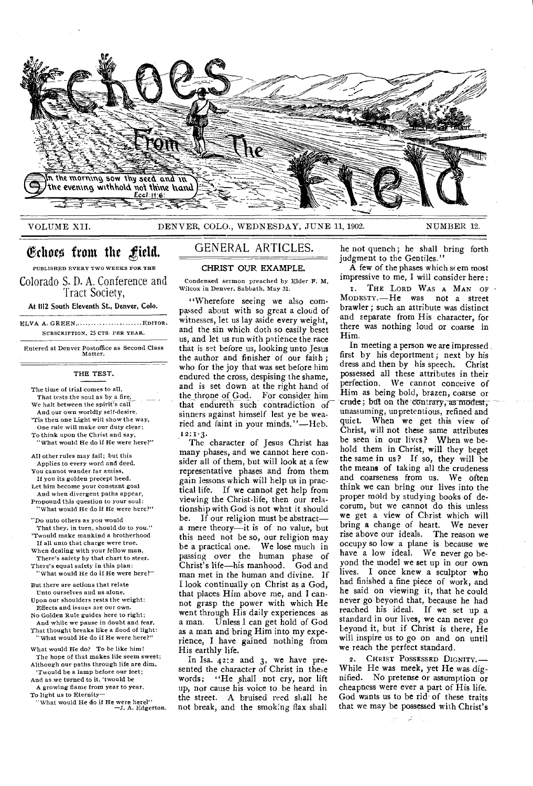

# VOLUME XII. DENVER, COLO., WEDNESDAY, JUNE 11, 1902. NUMBER 12.

# Echoes from the field.

PUBLISHED EVERY TWO WEEKS FOR THE

Colorado S. D. A. Conference and Tract Society,

At 1112 South Eleventh St., Denver, Colo.

ELVA A. GREEN, ............................ EDITOR. SUBSCRIPTION, 25 CTS. PER YEAR.

Entered at Denver Postoflice as Second Class Matter.

# THE TEST.

The time of trial comes to all, That tests the soul as by a fire. We halt between the spirit's call And our own worldly self-desire. 'Tis then one Light will show the way, One rule will make our duty clear; To think upon the Christ and say, "What would He do if He were here?"

All other rules may fail; but this Applies to every word and deed. You cannot wander far amiss, If you its golden precept heed.

Let him become your constant goal And when divergent paths appear, Propound this question to your soul: What would He do if He were here?"

"Do unto others as you would

That they, in turn, should do to you." 'Twould make mankind a brotherhood If all unto that charge were true.

When dealing with your fellow man, There's safety by that chart to steer.

There's equal safety in this plan: "What would He do if *He* were here?"

But there are actions that relate Unto ourselves and us alone.

Upon our shoulders rests the weight: Effects and issues are our own.

No Golden Rule guides here to right; And while we pause in doubt and fear,

That thought breaks like a flood of light: "What would He do if He were here?"

What would He do? To be like him! The hope of that makes life seem sweet; Although our paths through life are dim,

'Twould be a lamp before our feet; And as we turned to it, 'twould be

A growing flame from year to year, To light us to Eternity—

"What would He do *if* He were here?" —3. A. Edgerton.

# GENERAL ARTICLES.

CHRIST OUR EXAMPLE.

Condensed sermon preached by Elder F. M, Wilcox in Denver. Sabbath, May 31.

"Wherefore seeing we also compassed about with so great a cloud of witnesses, let us lay aside every weight, and the sin which doth so easily beset us, and let us run with patience the race that is set before us, looking unto Jesus the author and finisher of our faith; who for the joy that was set before him endured the cross, despising the shame, and is set down at the right hand of the throne of God. For consider him that endureth such contradiction of sinners against himself lest ye be wearied and faint in your minds."—Heb. 12:1-3•

The character of Jesus Christ has many phases, and we cannot here consider all of them, but will look at a few representative phases and from them gain lessons which will help us in practical life. If we cannot get help from viewing the Christ-life, then our relationship with God is not what it should be. If our religion must be abstract a mere theory—it is of no value, but this need not be so, our religion may be a practical one. We lose much in passing over the human phase of Christ's life—his manhood. God and man met in the human and divine. If I look continually on Christ as a God, that places Him above me, and I cannot grasp the power with which He went through His daily experiences as a man. Unless I can get hold of God as a man and bring Him into my experience, I have gained nothing from His earthly life.

In Isa. 42:2 and 3, we have presented the character of Christ in these words: "He .shall not cry, nor lift up, nor cause his voice to be heard in the street. A bruised reed shall he not break, and the smoking flax shall he not quench; he shall bring forth judgment to the Gentiles."

 $\overline{A}$  few of the phases which seem most impressive to me, I will consider here:

I. THE LORD WAS A MAN OF . MODESTY. —He was not a street brawler; such an attribute was distinct and separate from His character, for there was nothing loud or coarse in Him.

In meeting a person we are impressed , first by his deportment ; next by his dress and then by his speech. Christ possessed all these attributes in their perfection. We cannot conceive of Him as being bold, brazen, coarse or crude; but on the contrary, as modest, unassuming, unpretentious, refined and quiet. When we get this view of Christ, will not these same attributes be seen in our lives? When we behold them in Christ, will they beget the same in us? If so, they will be the means of taking all the crudeness and coarseness from us. We often think we can bring our lives into the proper mold by studying books of decorum, but we cannot do this unless we get a view of Christ which will bring a change of heart. We never rise above our ideals. The reason we occupy so low a plane is because we have a low ideal. We never go beyond the model we set up in our own lives. I once knew a sculptor who had finished a fine piece of work, and he said on viewing it, that he could never go beyond that, because he had reached his ideal. If we set up a standard in our lives, we can never go beyond it, but if Christ is there, He will inspire us to go on and on until we reach the perfect standard.

2. CHRIST POSSESSED DIGNITY.— While He was meek, yet He was dignified. No pretense or assumption or cheapness were ever a part of His life. God wants us to be rid-of these traits that we may be possessed with Christ's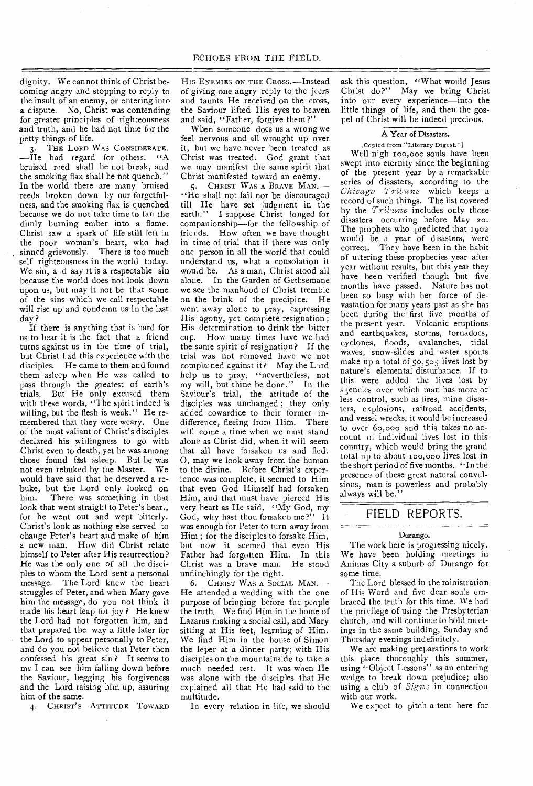dignity. We cannot think of Christ becoming angry and stopping to reply to the insult of an enemy, or entering into a dispute. No, Christ was contending for greater principles of righteousness and truth, and he had not time for the petty things of life.

3. THE LORD WAS CONSIDERATE.  $-\tilde{H}$ e had regard for others. "A bruised reed shall he not break, and the smoking flax shall he not quench." In the world there are many bruised reeds broken down by our forgetfulness, and the smoking flax is quenched because we do not take time to fan the dimly burning ember into a flame. Christ saw a spark of life still left in the poor woman's heart, who had sinned grievously. There is too much self righteousness in the world today. We sin, and say it is a respectable sin because the world does not look down upon us, but may it not be that some of the sins which we call respectable will rise up and condemn us in the last day ?

If there is anything that is hard for us to bear it is the fact that a friend turns against us in the time of trial, but Christ had this experience with the disciples. He came to them and found them asleep when He was called to pass through the greatest of earth's trials. But He only excused them with these words, "The spirit indeed is willing, but the flesh is weak." He remembered that they were weary. One of the most valiant of Christ's disciples declared his willingness to go with Christ even to death, yet he was among those found fast asleep. But he was not even rebuked by the Master. We would have said that he deserved a rebuke, but the Lord only looked on<br>him. There was something in that There was something in that look that went straight to Peter's heart, for he went out and wept bitterly. Christ's look as nothing else served to change Peter's heart and make of him a new man. How did Christ relate himself to Peter after His resurrection? He was the only one of all the disciples to whom the Lord sent a personal message. The Lord knew the heart struggles of Peter, and when Mary gave him the message, do you not think it made his heart leap for joy ? He knew the Lord had not forgotten him, and that prepared the way a little later for the Lord to appear personally to Peter, and do you not believe that Peter then confessed his great sin ? It seems to me I can see him falling down before the Saviour, begging his forgiveness and the Lord raising him up, assuring him of the same.

4. CHRIST'S ATTITUDE TOWARD

HIS ENEMIES ON THE CROSS.—Instead of giving one angry reply to the jeers and taunts He received on the cross, the Saviour lifted His eyes to heaven and said, "Father, forgive them ?''

When someone does us a wrong we feel nervous and all wrought up over it, but we have never been treated as Christ was treated. God grant that we may manifest the same spirit that Christ manifested toward an enemy.

5. CHRIST WAS A BRAVE MAN. — "He shall not fail nor be discouraged till He have set judgment in the earth." I suppose Christ longed for companionship—for the fellowship of friends. How often we have thought in time of trial that if there was only one person in all the world that could understand us, what a consolation it would be. As a man, Christ stood all alone. In the Garden of Gethsemane we see the manhood of Christ tremble on the brink of the precipice. He went away alone to pray, expressing His agony, yet complete resignation ; His determination to drink the bitter cup. How many times have we had the same spirit of resignation? If the trial was not removed have we not complained against it? May the Lord help us to pray, "nevertheless, not my will, but thine be done." In the Saviour's trial, the attitude of the disciples was unchanged ; they only added cowardice to their former indifference, fleeing from Him. There will come a time when we must stand alone as Christ did, when it will seem that all have forsaken us and fled. 0, may we look away from the human to the divine. Before Christ's experience was complete, it seemed to Him that even God Himself had forsaken Him, and that must have pierced His very heart as He said, "My God, my God, why hast thou forsaken me?" It was enough for Peter to turn away from Him ; for the disciples to forsake Him, but now it seemed that even His Father had forgotten Him. In this Christ was a brave man. He stood unflinchingly for the right.

6. CHRIST WAS A SOCIAL MAN. — He attended a wedding with the one purpose of bringing before the people the truth. We find Him in the home of Lazarus making a social call, and Mary sitting at His feet, learning of Him. We find Him in the house of Simon the leper at a dinner party; with His disciples on the mountainside to take a much needed rest. It was when He was alone with the disciples that He explained all that He had said to the multitude.

In every relation in life, we should

ask this question, "What would Jesus Christ do?" May we bring Christ into our every experience—into the little things of life, and then the gospel of Christ will be indeed precious.

### A Year of Disasters.

[Copied from "Literary Digest."]

Well nigh roo,000 souls have been swept into eternity since the beginning of the present year by a remarkable series of disasters, according to the *Chicago Tribune* which keeps a record of such things. The list covered by the *Tribune* includes only those disasters occurring before May zo. The prophets who predicted that 1902 would be a year of disasters, were correct. They have been in the habit of uttering these prophecies year after year without results, but this year they have been verified though but five months have passed. Nature has not been so busy with her force of devastation for many years past as she has been during the first five months of the pres-nt year. Volcanic eruptions and earthquakes, storms, tornadoes, cyclones, floods, avalanches, tidal waves, snow-slides and water spouts make up a total of 5o,5o5 lives lost by nature's elemental disturbance. If to this were added the lives lost by agencies over which man has more or less control, such as fires, mine disasters, explosions, railroad accidents, and vessel wrecks, it would be increased to over 6o,000 and this takes no account of individual lives lost in this country, which would bring the grand total up to about roo,000 lives lost in the short period of five months. "In the presence of these great natural convulsions, man is powerless and probably always will be."

# FIELD REPORTS.

### Durango.

The work here is progressing nicely. We have been holding meetings in Animas City a suburb of Durango for some time.

The Lord blessed in the ministration of His Word and five dear souls embraced the truth for this time. We had the privilege of using the Presbyterian church, and will continue to hold meetings in the same building, Sunday and Thursday evenings indefinitely.

We are making preparations to work this place thoroughly this summer, using "Object Lessons" as an entering wedge to break down prejudice; also using a club of *Signs* in connection with our work.

We expect to pitch a tent here for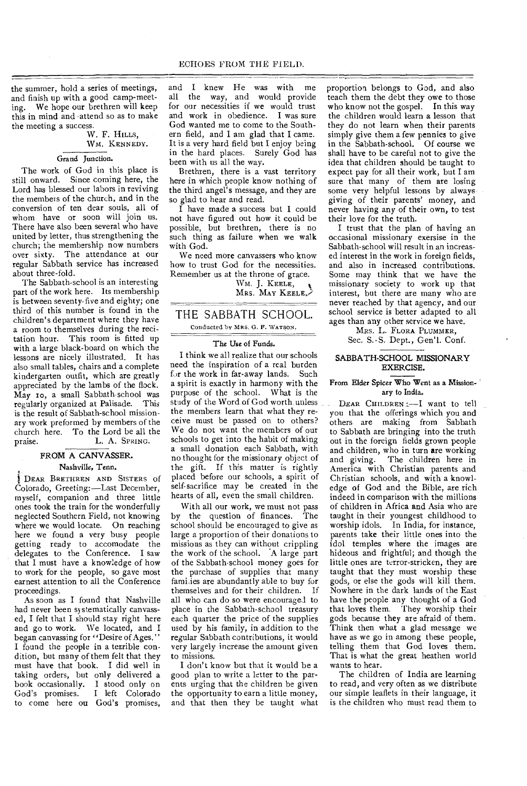the summer, hold a series of meetings, and finish up with a good camp-meeting. We hope our brethren will keep this in mind and •attend so as to make the meeting a success.

## W. F. HILLS, WM. KENNEDY.

# Grand Junction.

The work of God in this place is still onward. Since coming here, the Lord has blessed our labors in reviving the members of the church, and in the conversion of ten dear souls, all of whom have or soon will join us. There have also been several who have united by letter, thus strengthening the church; the membership now numbers over sixty. The attendance at our regular Sabbath service has increased about three-fold.

The Sabbath-school is an interesting part of the work here. Its membership is between seventy-five and eighty; one third of this number is found in the children's department where they have a room to themselves during the recitation hour. This room is fitted up with a large black-board on which the lessons are nicely illustrated. It has also small tables, chairs and a complete kindergarten outfit, which are greatly appreciated by the lambs of the flock. May 10, a small Sabbath-school was regularly organized at Palisade. This is the result of Sabbath-school missionary work preformed by members of the church here. To the Lord be all the praise. L. A. SPRING.

# FROM A CANVASSER. Nashville, Tenn.

DEAR BRETHREN AND SISTERS of Colorado, Greeting:—Last December, myself, companion and three little ones took the train for the wonderfully neglected Southern Field, not knowing where we would locate. On reaching here we found a very busy people getting ready to accomodate the delegates to the Conference. I saw that I must have a knowledge of how to work for the people, so gave most earnest attention to all the Conference proceedings.

As soon as I found that Nashville had never been systematically canvassed, I felt that I should stay right here and go to work. We located, and I began canvassing for "Desire of Ages." I found the people in a terrible condition, but many of them felt that they must have that book. I did well in taking orders, but only delivered a book occasionally. I stood only on<br>God's promises. I left Colorado I left Colorado to come here ou God's promises,

and I knew He was with me<br>all the way, and would provide the way, and would provide for our necessities if we would trust and work in obedience. I was sure God wanted me to come to the Southern field, and I am glad that I came. It is a very hard field but I enjoy being in the hard places. Surely God has been with us all the way.

Brethren, there is a vast territory here in which people know nothing of the third angel's message, and they are so glad to hear and read.

I have made a success but I could not have figured out how it could be possible, but brethren, there is no such thing as failure when we walk with God.

We need more canvassers who know how to trust God for the necessities. Remember us at the throne of grace.

> WM. J. KEELE, MRS. MAY KEELE

# THE SABBATH SCHOOL.

Conducted by MRS. G. F. WATSON.

## The Use of Funds.

I think we all realize that our schools need the inspiration of a real burden for the work in far-away lands. Such a spirit is exactly in harmony with the purpose of the school. What is the study of the Word of God worth unless the members learn that what they receive must be passed on to others? We do not want the members of our schools to get into the habit of making a small donation each Sabbath, with no thought for the missionary object of the gift. If this matter is rightly placed before our schools, a spirit of self-sacrifice may be created in the hearts of all, even the small children.

With all our work, we must not pass<br>the question of finances. The by the question of finances. school should be encouraged to give as large a proportion of their donations to missions as they can without crippling the work of the school. A large part of the Sabbath-school money goes for the purchase of supplies that many families are abundantly able to buy for themselves and for their children. If all who can do so were encouraged to place in the Sabbath-school treasury each quarter the price of the supplies used by his family, in addition to the regular Sabbath contributions, it would very largely increase the amount given to missions.

I don't know but that it would be a good plan to write a letter to the parents urging that the children be given the opportunity to earn a little money, and that then they be taught what proportion belongs to God, and also teach them the debt they owe to those who know not the gospel. In this way the children would learn a lesson that they do not learn when their parents simply give them a few pennies to give in the Sabbath-school. Of course we shall have to be careful not to give the idea that children should be taught to expect pay for all their work, but I am sure that many of them are losing some very helpful lessons by always. giving of their parents' money, and never having any of their own, to test their love for the truth.

I trust that the plan of having an occasional missionary exersise in the Sabbath-school will result in an increased interest in the work in foreign fields, and also in increased contributions. Some may think that we have the missionary society to work up that interest, but there are many who are never reached by that agency, and our school service is better adapted to all ages than any other service we have.

MRS. L. FLORA PLUMMER,

Sec. S.-S. Dept., Gen'l. Conf.

### SABBATH-SCHOOL MISSIONARY EXERCISE.

### From Elder Spicer Who Went as a Missionary to India.

DEAR CHILDREN :- I want to tell you that the offerings which you and others are making from Sabbath to Sabbath are bringing into the truth out in the foreign fields grown people and children, who in turn are working and giving. The children here in America with Christian parents and Christian schools, and with a knowledge of God and the Bible, are rich indeed in comparison with the millions of children in Africa and Asia who are taught in their youngest childhood to worship idols. In India, for instance, parents take their little ones into the idol temples where the images are hideous and frightful; and though the little ones are terror-stricken, they are taught that they must worship these gods, or else the gods will kill them. Nowhere in the dark lands of the East have the people any thought of a God that loves them. 'They worship their gods because they are afraid of them. Think then what a glad message we have as we go in among these people, telling them that God loves them. That is what the great heathen world wants to hear.

The children of India are learning to read, and very often as we distribute our simple leaflets in their language, it is the children who must read them to